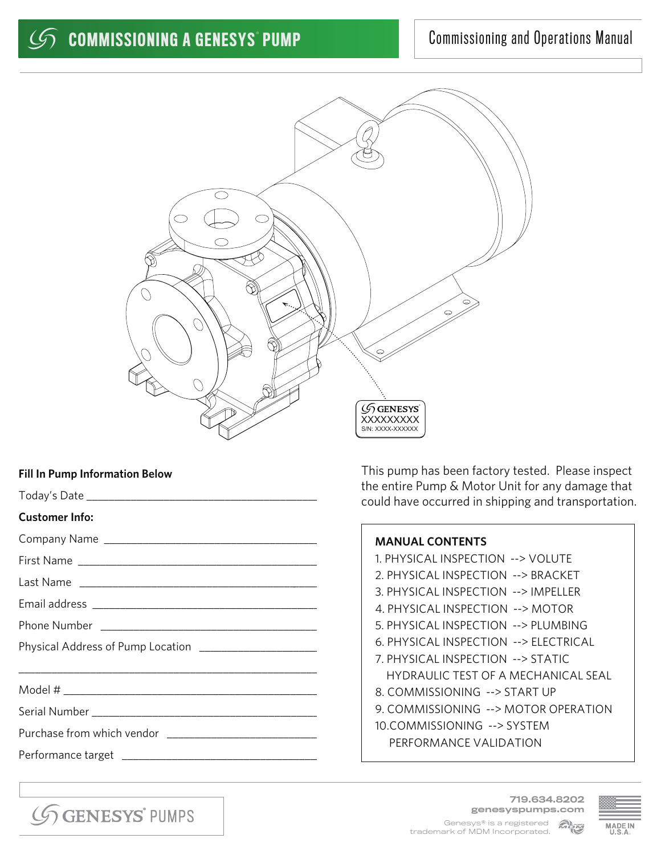

## **Fill In Pump Information Below**

|                                                         | the entire Pump & Motor Unit for any damage that<br>could have occurred in shipping and transportation. |  |
|---------------------------------------------------------|---------------------------------------------------------------------------------------------------------|--|
| <b>Customer Info:</b>                                   |                                                                                                         |  |
|                                                         | <b>MANUAL CONTENTS</b>                                                                                  |  |
|                                                         | 1. PHYSICAL INSPECTION --> VOLUTE                                                                       |  |
|                                                         | 2. PHYSICAL INSPECTION --> BRACKET                                                                      |  |
|                                                         | 3. PHYSICAL INSPECTION --> IMPELLER                                                                     |  |
|                                                         | 4. PHYSICAL INSPECTION --> MOTOR                                                                        |  |
|                                                         | 5. PHYSICAL INSPECTION --> PLUMBING                                                                     |  |
| Physical Address of Pump Location _____________________ | 6. PHYSICAL INSPECTION --> ELECTRICAL                                                                   |  |
|                                                         | 7. PHYSICAL INSPECTION --> STATIC                                                                       |  |
|                                                         | <b>HYDRAULIC TEST OF A MECHANICAL SEAL</b>                                                              |  |
|                                                         | 8. COMMISSIONING --> START UP                                                                           |  |
|                                                         | 9. COMMISSIONING --> MOTOR OPERATION                                                                    |  |
|                                                         | 10.COMMISSIONING --> SYSTEM                                                                             |  |
|                                                         | PERFORMANCE VALIDATION                                                                                  |  |
|                                                         |                                                                                                         |  |
|                                                         |                                                                                                         |  |

GGENESYS' PUMPS

719.634.8202 genesyspumps.com MPM Genesys® is a registered trademark of MDM Incorporated.

This pump has been factory tested. Please inspect

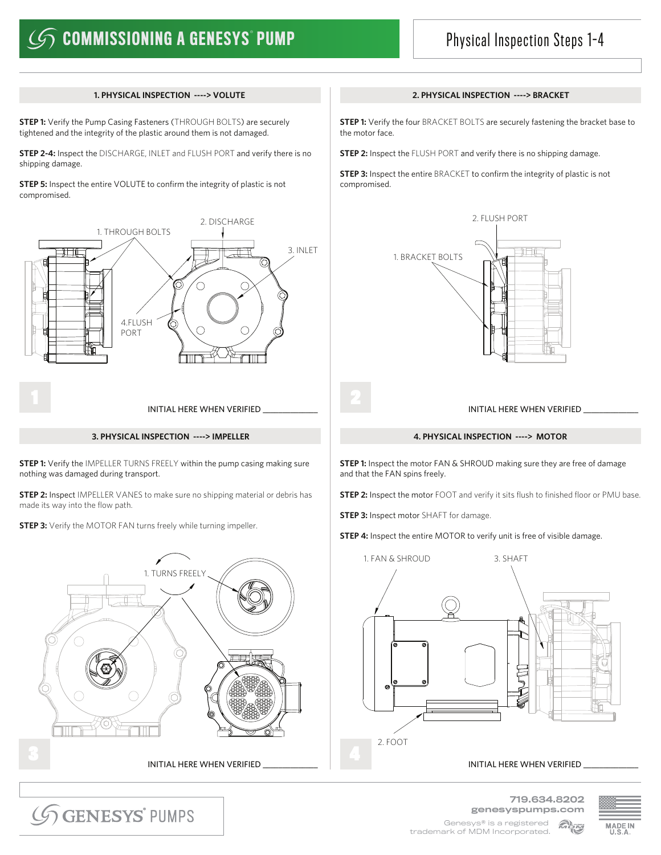# $\mathscr{G}$  commissioning a genesys° pump

## Physical Inspection Steps 1-4

**STEP 1:** Verify the Pump Casing Fasteners (THROUGH BOLTS) are securely tightened and the integrity of the plastic around them is not damaged.

**STEP 2-4:** Inspect the DISCHARGE, INLET and FLUSH PORT and verify there is no shipping damage.

**STEP 5:** Inspect the entire VOLUTE to confirm the integrity of plastic is not compromised.



**STEP 1:** Verify the IMPELLER TURNS FREELY within the pump casing making sure nothing was damaged during transport.

**STEP 2:** Inspect IMPELLER VANES to make sure no shipping material or debris has made its way into the flow path.

**STEP 3:** Verify the MOTOR FAN turns freely while turning impeller.



## **1. PHYSICAL INSPECTION ----> VOLUTE 2. PHYSICAL INSPECTION ----> BRACKET**

**STEP 1:** Verify the four BRACKET BOLTS are securely fastening the bracket base to the motor face.

**STEP 2:** Inspect the FLUSH PORT and verify there is no shipping damage.

**STEP 3:** Inspect the entire BRACKET to confirm the integrity of plastic is not compromised.



## **3. PHYSICAL INSPECTION ----> IMPELLER 4. PHYSICAL INSPECTION ----> MOTOR**

**STEP 1:** Inspect the motor FAN & SHROUD making sure they are free of damage and that the FAN spins freely.

**STEP 2:** Inspect the motor FOOT and verify it sits flush to finished floor or PMU base.

**STEP 3:** Inspect motor SHAFT for damage.

**STEP 4:** Inspect the entire MOTOR to verify unit is free of visible damage.



719.634.8202

GGENESYS<sup>\*</sup> PUMPS

genesyspumps.com Genesys® is a registered Merid trademark of MDM Incorporated.

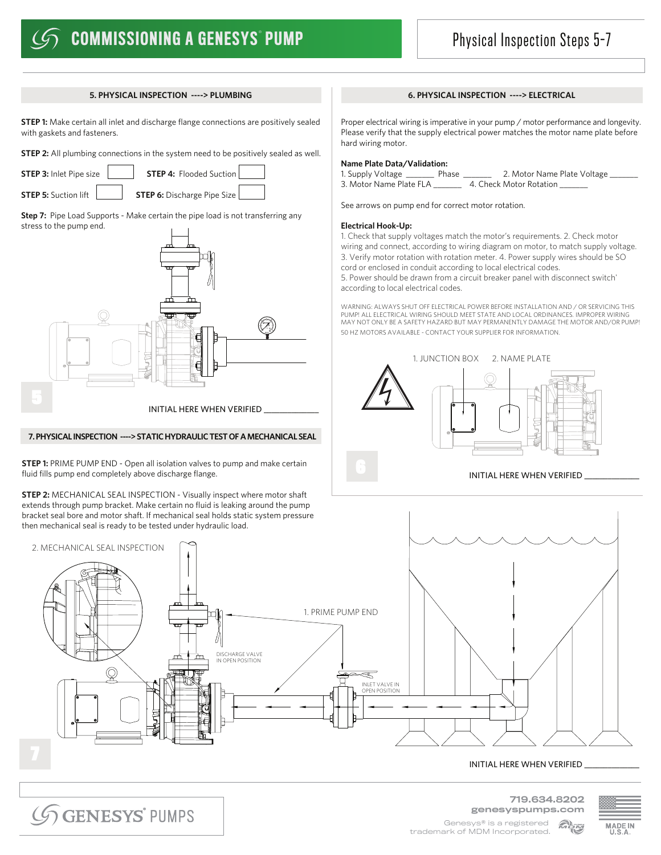## **COMMISSIONING A GENESYS° PUMP**

## Physical Inspection Steps 5-7

**STEP 1:** Make certain all inlet and discharge flange connections are positively sealed with gaskets and fasteners.

**STEP 2:** All plumbing connections in the system need to be positively sealed as well.

**STEP 3:** Inlet Pipe size **STEP 4:** Flooded Suction

**STEP 5:** Suction lift **STEP 6:** Discharge Pipe Size

**Step 7:** Pipe Load Supports - Make certain the pipe load is not transferring any stress to the pump end.



## **7. PHYSICAL INSPECTION ----> STATIC HYDRAULIC TEST OF A MECHANICAL SEAL**

**STEP 1:** PRIME PUMP END - Open all isolation valves to pump and make certain fluid fills pump end completely above discharge flange.

**STEP 2:** MECHANICAL SEAL INSPECTION - Visually inspect where motor shaft extends through pump bracket. Make certain no fluid is leaking around the pump bracket seal bore and motor shaft. If mechanical seal holds static system pressure then mechanical seal is ready to be tested under hydraulic load.

## **5. PHYSICAL INSPECTION ----> PLUMBING 6. PHYSICAL INSPECTION ----> ELECTRICAL**

Proper electrical wiring is imperative in your pump / motor performance and longevity. Please verify that the supply electrical power matches the motor name plate before hard wiring motor.

## **Name Plate Data/Validation:**

1. Supply Voltage \_\_\_\_\_\_\_ Phase \_\_\_\_\_\_\_ 2. Motor Name Plate Voltage \_\_\_\_\_\_\_ 3. Motor Name Plate FLA \_\_\_\_\_\_\_ 4. Check Motor Rotation \_\_\_\_\_\_\_

See arrows on pump end for correct motor rotation.

## **Electrical Hook-Up:**

1. Check that supply voltages match the motor's requirements. 2. Check motor wiring and connect, according to wiring diagram on motor, to match supply voltage. 3. Verify motor rotation with rotation meter. 4. Power supply wires should be SO cord or enclosed in conduit according to local electrical codes. 5. Power should be drawn from a circuit breaker panel with disconnect switch'

according to local electrical codes.

WARNING: ALWAYS SHUT OFF ELECTRICAL POWER BEFORE INSTALLATION AND / OR SERVICING THIS PUMP! ALL ELECTRICAL WIRING SHOULD MEET STATE AND LOCAL ORDINANCES. IMPROPER WIRING MAY NOT ONLY BE A SAFETY HAZARD BUT MAY PERMANENTLY DAMAGE THE MOTOR AND/OR PUMP! 50 HZ MOTORS AVAILABLE - CONTACT YOUR SUPPLIER FOR INFORMATION.



## INITIAL HERE WHEN VERIFIED



**GENESYS** PUMPS

719.634.8202 genesyspumps.com



Genesys® is a registered **Meni** trademark of MDM Incorporated.